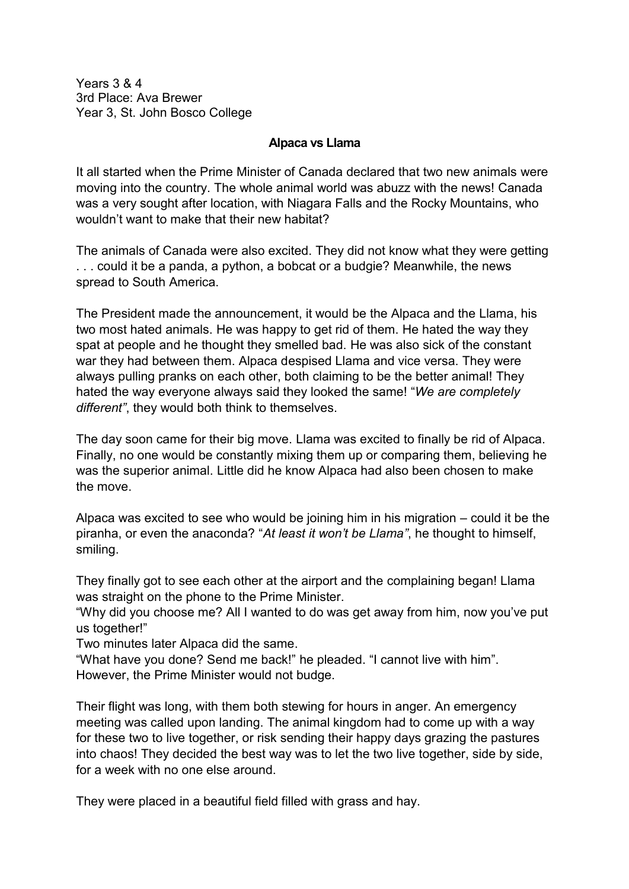Years 3 & 4 3rd Place: Ava Brewer Year 3, St. John Bosco College

## **Alpaca vs Llama**

It all started when the Prime Minister of Canada declared that two new animals were moving into the country. The whole animal world was abuzz with the news! Canada was a very sought after location, with Niagara Falls and the Rocky Mountains, who wouldn't want to make that their new habitat?

The animals of Canada were also excited. They did not know what they were getting . . . could it be a panda, a python, a bobcat or a budgie? Meanwhile, the news spread to South America.

The President made the announcement, it would be the Alpaca and the Llama, his two most hated animals. He was happy to get rid of them. He hated the way they spat at people and he thought they smelled bad. He was also sick of the constant war they had between them. Alpaca despised Llama and vice versa. They were always pulling pranks on each other, both claiming to be the better animal! They hated the way everyone always said they looked the same! "*We are completely different"*, they would both think to themselves.

The day soon came for their big move. Llama was excited to finally be rid of Alpaca. Finally, no one would be constantly mixing them up or comparing them, believing he was the superior animal. Little did he know Alpaca had also been chosen to make the move.

Alpaca was excited to see who would be joining him in his migration – could it be the piranha, or even the anaconda? "*At least it won't be Llama"*, he thought to himself, smiling.

They finally got to see each other at the airport and the complaining began! Llama was straight on the phone to the Prime Minister.

"Why did you choose me? All I wanted to do was get away from him, now you've put us together!"

Two minutes later Alpaca did the same.

"What have you done? Send me back!" he pleaded. "I cannot live with him". However, the Prime Minister would not budge.

Their flight was long, with them both stewing for hours in anger. An emergency meeting was called upon landing. The animal kingdom had to come up with a way for these two to live together, or risk sending their happy days grazing the pastures into chaos! They decided the best way was to let the two live together, side by side, for a week with no one else around.

They were placed in a beautiful field filled with grass and hay.